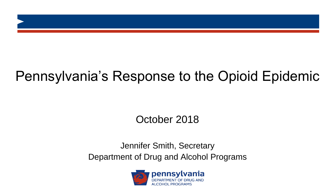# Pennsylvania's Response to the Opioid Epidemic

## October 2018

### Jennifer Smith, Secretary Department of Drug and Alcohol Programs

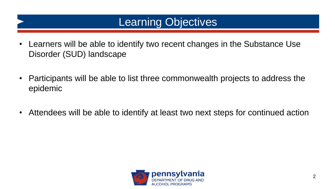# Learning Objectives

- Learners will be able to identify two recent changes in the Substance Use Disorder (SUD) landscape
- Participants will be able to list three commonwealth projects to address the epidemic
- Attendees will be able to identify at least two next steps for continued action

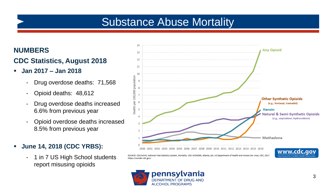# Substance Abuse Mortality

### **NUMBERS**

### **CDC Statistics, August 2018**

- **Jan 2017 – Jan 2018**
	- Drug overdose deaths: 71,568
	- Opioid deaths: 48,612
	- Drug overdose deaths increased 6.6% from previous year
	- Opioid overdose deaths increased 8.5% from previous year
- **June 14, 2018 (CDC YRBS):** 
	- 1 in 7 US High School students report misusing opioids



SOURCE: CDC/NCHS, National Vital Statistics System, Mortality. CDC WONDER, Atlanta, GA: US Department of Health and https://wonder.cdc.gov/.

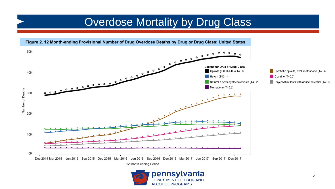# **Overdose Mortality by Drug Class**



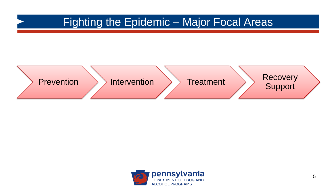# Fighting the Epidemic – Major Focal Areas



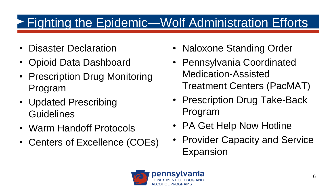# ► Fighting the Epidemic—Wolf Administration Efforts

- Disaster Declaration
- Opioid Data Dashboard
- Prescription Drug Monitoring Program
- Updated Prescribing **Guidelines**
- Warm Handoff Protocols
- Centers of Excellence (COEs)
- Naloxone Standing Order
- Pennsylvania Coordinated Medication-Assisted Treatment Centers (PacMAT)
- Prescription Drug Take-Back Program
- PA Get Help Now Hotline
- Provider Capacity and Service Expansion

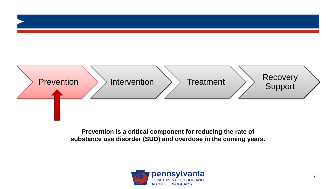

**Prevention is a critical component for reducing the rate of substance use disorder (SUD) and overdose in the coming years.** 

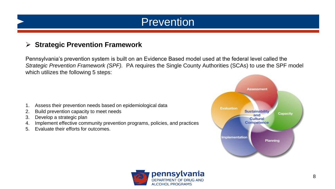# Prevention

### **Strategic Prevention Framework**

Pennsylvania's prevention system is built on an Evidence Based model used at the federal level called the *Strategic Prevention Framework (SPF).* PA requires the Single County Authorities (SCAs) to use the SPF model which utilizes the following 5 steps:

- 1. Assess their prevention needs based on epidemiological data
- 2. Build prevention capacity to meet needs
- 3. Develop a strategic plan
- 4. Implement effective community prevention programs, policies, and practices
- 5. Evaluate their efforts for outcomes.



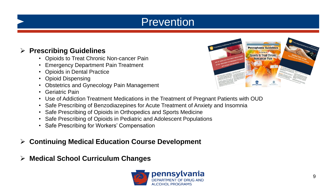# Prevention

### **Prescribing Guidelines**

- Opioids to Treat Chronic Non-cancer Pain
- Emergency Department Pain Treatment
- Opioids in Dental Practice
- Opioid Dispensing
- Obstetrics and Gynecology Pain Management
- Geriatric Pain



- Use of Addiction Treatment Medications in the Treatment of Pregnant Patients with OUD
- Safe Prescribing of Benzodiazepines for Acute Treatment of Anxiety and Insomnia
- Safe Prescribing of Opioids in Orthopedics and Sports Medicine
- Safe Prescribing of Opioids in Pediatric and Adolescent Populations
- Safe Prescribing for Workers' Compensation

### **Continuing Medical Education Course Development**

**Medical School Curriculum Changes**

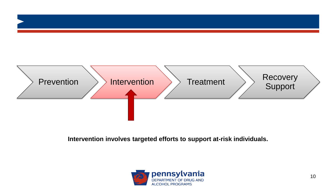

**Intervention involves targeted efforts to support at-risk individuals.**

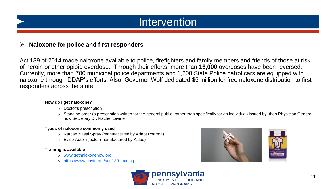# Intervention

### **EXA** Naloxone for police and first responders

Act 139 of 2014 made naloxone available to police, firefighters and family members and friends of those at risk of heroin or other opioid overdose. Through their efforts, more than **16,000** overdoses have been reversed. Currently, more than 700 municipal police departments and 1,200 State Police patrol cars are equipped with naloxone through DDAP's efforts. Also, Governor Wolf dedicated \$5 million for free naloxone distribution to first responders across the state.

#### **How do I get naloxone?**

- o Doctor's prescription
- o Standing order (a prescription written for the general public, rather than specifically for an individual) issued by, then Physician General, now Secretary Dr. Rachel Levine

#### **Types of naloxone commonly used**

- o Narcan Nasal Spray (manufactured by Adapt Pharma)
- o Evzio Auto-Injector (manufactured by Kaleo)

#### **Training is available**

- o [www.getnaloxonenow.org](http://www.getnaloxonenow.org/)
- <https://www.pavtn.net/act-139-training>



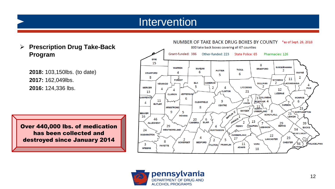## Intervention

 **Prescription Drug Take-Back Program**

**2018:** 103,150lbs. (to date) **2017:** 162,049lbs. **2016:** 124,336 lbs.

Over 440,000 lbs. of medication has been collected and destroyed since January 2014



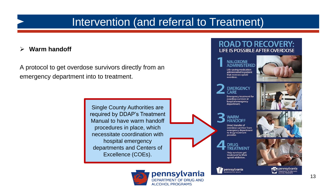### Intervention (and referral to Treatment)

### **Warm handoff**

A protocol to get overdose survivors directly from an emergency department into to treatment.

> Single County Authorities are required by DDAP's Treatment Manual to have warm handoff procedures in place, which necessitate coordination with hospital emergency departments and Centers of Excellence (COEs).

### **ROAD TO RECOVERY: LIFE IS POSSIBLE AFTER OVERDOSE**





**EMERGENCY** CARE Emergency treatment for<br>overdose survivor at hospital emergency department.



Direct transfer of overdose survivor from emergency department to drug treatment provider.

**DRUG TREATMENT** Help survivors get<br>treatment for their opioid addiction.

pennsylvania







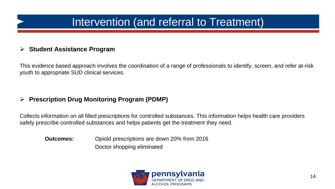# Intervention (and referral to Treatment)

### **Student Assistance Program**

This evidence based approach involves the coordination of a range of professionals to identify, screen, and refer at-risk youth to appropriate SUD clinical services.

### **Prescription Drug Monitoring Program (PDMP)**

Collects information on all filled prescriptions for controlled substances. This information helps health care providers safely prescribe controlled substances and helps patients get the treatment they need.

**Outcomes:** Opioid prescriptions are down 20% from 2016 Doctor shopping eliminated

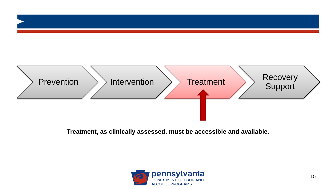

### **Treatment, as clinically assessed, must be accessible and available.**

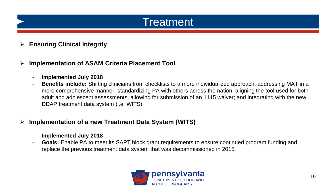# **Treatment**

### **Ensuring Clinical Integrity**

### **Implementation of ASAM Criteria Placement Tool**

- **Implemented July 2018**
- **Benefits include:** Shifting clinicians from checklists to a more individualized approach, addressing MAT in a more comprehensive manner; standardizing PA with others across the nation; aligning the tool used for both adult and adolescent assessments; allowing for submission of an 1115 waiver; and integrating with the new DDAP treatment data system (i.e. WITS)

### **Implementation of a new Treatment Data System (WITS)**

- **Implemented July 2018**
- **Goals:** Enable PA to meet its SAPT block grant requirements to ensure continued program funding and replace the previous treatment data system that was decommissioned in 2015.

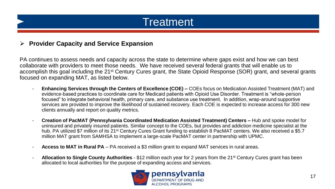# **Treatment**

### **Provider Capacity and Service Expansion**

PA continues to assess needs and capacity across the state to determine where gaps exist and how we can best collaborate with providers to meet those needs. We have received several federal grants that will enable us to accomplish this goal including the 21<sup>st</sup> Century Cures grant, the State Opioid Response (SOR) grant, and several grants focused on expanding MAT, as listed below.

- **Enhancing Services through the Centers of Excellence (COE) –** COEs focus on Medication Assisted Treatment (MAT) and evidence-based practices to coordinate care for Medicaid patients with Opioid Use Disorder. Treatment is "whole-person focused" to integrate behavioral health, primary care, and substance use treatment. In addition, wrap-around supportive services are provided to improve the likelihood of sustained recovery. Each COE is expected to increase access for 300 new clients annually and report on quality metrics.
- **Creation of PacMAT (Pennsylvania Coordinated Medication Assisted Treatment) Centers –** Hub and spoke model for uninsured and privately insured patients. Similar concept to the COEs, but provides and addiction medicine specialist at the hub. PA utilized \$7 million of its 21<sup>st</sup> Century Cures Grant funding to establish 8 PacMAT centers. We also received a \$5.7 million MAT grant from SAMHSA to implement a large-scale PacMAT center in partnership with UPMC.
- **Access to MAT in Rural PA** PA received a \$3 million grant to expand MAT services in rural areas.
- **Allocation to Single County Authorities**  \$12 million each year for 2 years from the 21st Century Cures grant has been allocated to local authorities for the purpose of expanding access and services.

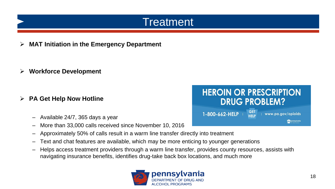# **Treatment**

**MAT Initiation in the Emergency Department** 

**Workforce Development**

- **PA Get Help Now Hotline** 
	- Available 24/7, 365 days a year
	- More than 33,000 calls received since November 10, 2016
	- Approximately 50% of calls result in a warm line transfer directly into treatment
	- Text and chat features are available, which may be more enticing to younger generations
	- Helps access treatment providers through a warm line transfer, provides county resources, assists with navigating insurance benefits, identifies drug-take back box locations, and much more



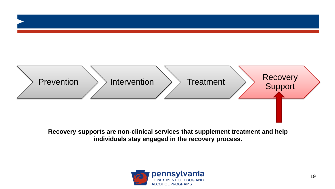

**Recovery supports are non-clinical services that supplement treatment and help individuals stay engaged in the recovery process.** 

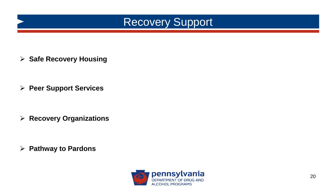

**▶ Safe Recovery Housing** 

**Peer Support Services**

**Recovery Organizations**

**Pathway to Pardons**

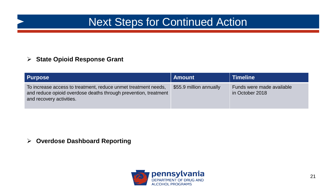# Next Steps for Continued Action

### **State Opioid Response Grant**

| <b>Purpose</b>                                                                                                                                                | <b>Amount</b>           | <b>Timeline</b>                              |
|---------------------------------------------------------------------------------------------------------------------------------------------------------------|-------------------------|----------------------------------------------|
| To increase access to treatment, reduce unmet treatment needs,<br>and reduce opioid overdose deaths through prevention, treatment<br>and recovery activities. | \$55.9 million annually | Funds were made available<br>in October 2018 |

**Overdose Dashboard Reporting**